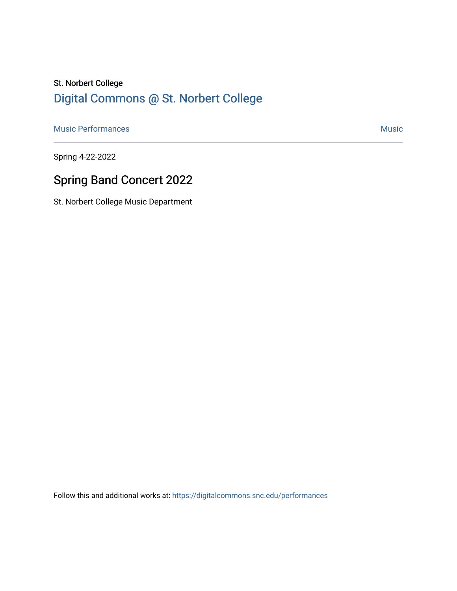## St. Norbert College [Digital Commons @ St. Norbert College](https://digitalcommons.snc.edu/)

[Music Performances](https://digitalcommons.snc.edu/performances) **Music** [Music](https://digitalcommons.snc.edu/music) **Music** Music **Music** 

Spring 4-22-2022

# Spring Band Concert 2022

St. Norbert College Music Department

Follow this and additional works at: [https://digitalcommons.snc.edu/performances](https://digitalcommons.snc.edu/performances?utm_source=digitalcommons.snc.edu%2Fperformances%2F174&utm_medium=PDF&utm_campaign=PDFCoverPages)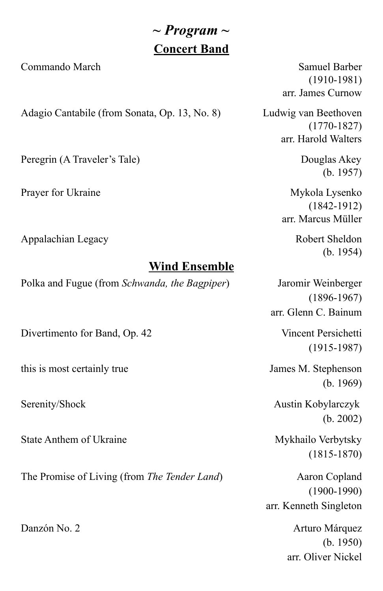## *~ Program ~* **Concert Band**

Commando March Samuel Barber

Adagio Cantabile (from Sonata, Op. 13, No. 8) Ludwig van Beethoven

Peregrin (A Traveler's Tale) Douglas Akey

Prayer for Ukraine Mykola Lysenko

Appalachian Legacy **Robert Sheldon** Robert Sheldon

### **Wind Ensemble**

Polka and Fugue (from *Schwanda, the Bagpiper*) Jaromir Weinberger

Divertimento for Band, Op. 42 Vincent Persichetti

this is most certainly true James M. Stephenson

State Anthem of Ukraine Mykhailo Verbytsky

The Promise of Living (from *The Tender Land*) Aaron Copland

(1910-1981) arr. James Curnow

(1770-1827) arr. Harold Walters

(b. 1957)

(1842-1912) arr. Marcus Müller

(b. 1954)

(1896-1967) arr. Glenn C. Bainum

(1915-1987)

(b. 1969)

Serenity/Shock Austin Kobylarczyk (b. 2002)

(1815-1870)

(1900-1990) arr. Kenneth Singleton

Danzón No. 2 **Arturo Márquez** (b. 1950) arr. Oliver Nickel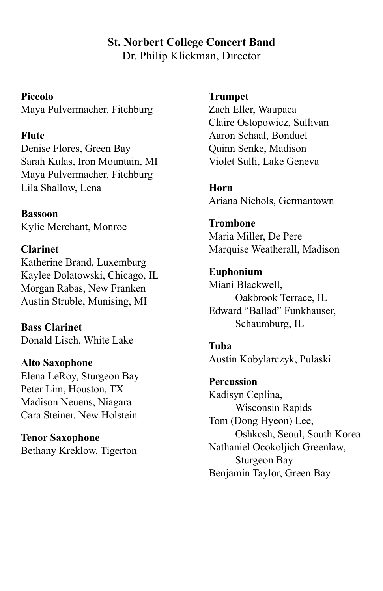#### **St. Norbert College Concert Band** Dr. Philip Klickman, Director

#### **Piccolo**

Maya Pulvermacher, Fitchburg

#### **Flute**

Denise Flores, Green Bay Sarah Kulas, Iron Mountain, MI Maya Pulvermacher, Fitchburg Lila Shallow, Lena

**Bassoon** Kylie Merchant, Monroe

#### **Clarinet**

Katherine Brand, Luxemburg Kaylee Dolatowski, Chicago, IL Morgan Rabas, New Franken Austin Struble, Munising, MI

**Bass Clarinet** Donald Lisch, White Lake

#### **Alto Saxophone**

Elena LeRoy, Sturgeon Bay Peter Lim, Houston, TX Madison Neuens, Niagara Cara Steiner, New Holstein

## **Tenor Saxophone**

Bethany Kreklow, Tigerton

#### **Trumpet**

Zach Eller, Waupaca Claire Ostopowicz, Sullivan Aaron Schaal, Bonduel Quinn Senke, Madison Violet Sulli, Lake Geneva

**Horn** Ariana Nichols, Germantown

**Trombone** Maria Miller, De Pere Marquise Weatherall, Madison

**Euphonium** Miani Blackwell, Oakbrook Terrace, IL Edward "Ballad" Funkhauser, Schaumburg, IL

#### **Tuba**

Austin Kobylarczyk, Pulaski

**Percussion** Kadisyn Ceplina, Wisconsin Rapids Tom (Dong Hyeon) Lee, Oshkosh, Seoul, South Korea Nathaniel Ocokoljich Greenlaw, Sturgeon Bay Benjamin Taylor, Green Bay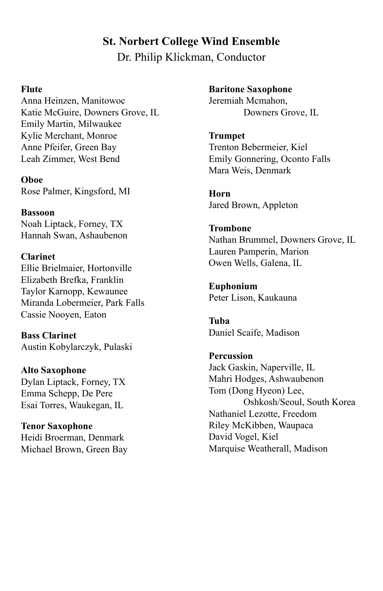### **St. Norbert College Wind Ensemble** Dr. Philip Klickman, Conductor

#### **Flute**

Anna Heinzen, Manitowoc Katie McGuire, Downers Grove, IL Emily Martin, Milwaukee Kylie Merchant, Monroe Anne Pfeifer, Green Bay Leah Zimmer, West Bend

**Oboe** Rose Palmer, Kingsford, MI

**Bassoon** Noah Liptack, Forney, TX Hannah Swan, Ashaubenon

**Clarinet** Ellie Brielmaier, Hortonville Elizabeth Brefka, Franklin Taylor Karnopp, Kewaunee Miranda Lobermeier, Park Falls Cassie Nooyen, Eaton

**Bass Clarinet** Austin Kobylarczyk, Pulaski

**Alto Saxophone** Dylan Liptack, Forney, TX Emma Schepp, De Pere Esai Torres, Waukegan, IL

**Tenor Saxophone** Heidi Broerman, Denmark Michael Brown, Green Bay **Baritone Saxophone** Jeremiah Mcmahon, Downers Grove, IL

**Trumpet** Trenton Bebermeier, Kiel Emily Gonnering, Oconto Falls Mara Weis, Denmark

**Horn** Jared Brown, Appleton

**Trombone** Nathan Brummel, Downers Grove, IL Lauren Pamperin, Marion Owen Wells, Galena, IL

**Euphonium** Peter Lison, Kaukauna

**Tuba** Daniel Scaife, Madison

**Percussion** Jack Gaskin, Naperville, IL Mahri Hodges, Ashwaubenon Tom (Dong Hyeon) Lee, Oshkosh/Seoul, South Korea Nathaniel Lezotte, Freedom Riley McKibben, Waupaca David Vogel, Kiel Marquise Weatherall, Madison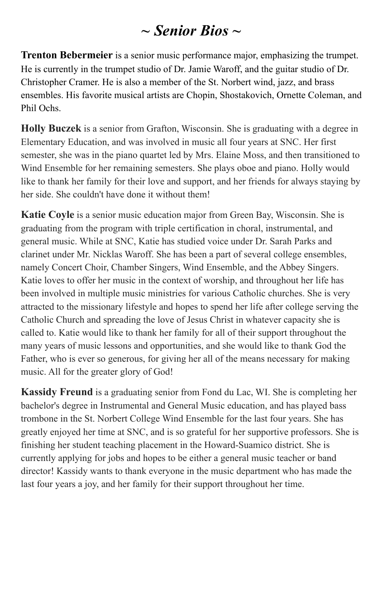## *~ Senior Bios ~*

**Trenton Bebermeier** is a senior music performance major, emphasizing the trumpet. He is currently in the trumpet studio of Dr. Jamie Waroff, and the guitar studio of Dr. Christopher Cramer. He is also a member of the St. Norbert wind, jazz, and brass ensembles. His favorite musical artists are Chopin, Shostakovich, Ornette Coleman, and Phil Ochs.

**Holly Buczek** is a senior from Grafton, Wisconsin. She is graduating with a degree in Elementary Education, and was involved in music all four years at SNC. Her first semester, she was in the piano quartet led by Mrs. Elaine Moss, and then transitioned to Wind Ensemble for her remaining semesters. She plays oboe and piano. Holly would like to thank her family for their love and support, and her friends for always staying by her side. She couldn't have done it without them!

**Katie Coyle** is a senior music education major from Green Bay, Wisconsin. She is graduating from the program with triple certification in choral, instrumental, and general music. While at SNC, Katie has studied voice under Dr. Sarah Parks and clarinet under Mr. Nicklas Waroff. She has been a part of several college ensembles, namely Concert Choir, Chamber Singers, Wind Ensemble, and the Abbey Singers. Katie loves to offer her music in the context of worship, and throughout her life has been involved in multiple music ministries for various Catholic churches. She is very attracted to the missionary lifestyle and hopes to spend her life after college serving the Catholic Church and spreading the love of Jesus Christ in whatever capacity she is called to. Katie would like to thank her family for all of their support throughout the many years of music lessons and opportunities, and she would like to thank God the Father, who is ever so generous, for giving her all of the means necessary for making music. All for the greater glory of God!

**Kassidy Freund** is a graduating senior from Fond du Lac, WI. She is completing her bachelor's degree in Instrumental and General Music education, and has played bass trombone in the St. Norbert College Wind Ensemble for the last four years. She has greatly enjoyed her time at SNC, and is so grateful for her supportive professors. She is finishing her student teaching placement in the Howard-Suamico district. She is currently applying for jobs and hopes to be either a general music teacher or band director! Kassidy wants to thank everyone in the music department who has made the last four years a joy, and her family for their support throughout her time.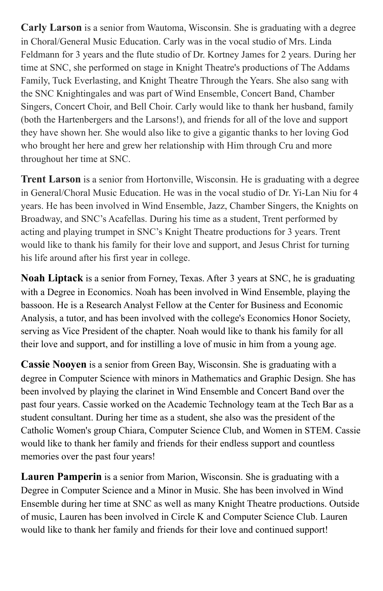**Carly Larson** is a senior from Wautoma, Wisconsin. She is graduating with a degree in Choral/General Music Education. Carly was in the vocal studio of Mrs. Linda Feldmann for 3 years and the flute studio of Dr. Kortney James for 2 years. During her time at SNC, she performed on stage in Knight Theatre's productions of The Addams Family, Tuck Everlasting, and Knight Theatre Through the Years. She also sang with the SNC Knightingales and was part of Wind Ensemble, Concert Band, Chamber Singers, Concert Choir, and Bell Choir. Carly would like to thank her husband, family (both the Hartenbergers and the Larsons!), and friends for all of the love and support they have shown her. She would also like to give a gigantic thanks to her loving God who brought her here and grew her relationship with Him through Cru and more throughout her time at SNC.

**Trent Larson** is a senior from Hortonville, Wisconsin. He is graduating with a degree in General/Choral Music Education. He was in the vocal studio of Dr. Yi-Lan Niu for 4 years. He has been involved in Wind Ensemble, Jazz, Chamber Singers, the Knights on Broadway, and SNC's Acafellas. During his time as a student, Trent performed by acting and playing trumpet in SNC's Knight Theatre productions for 3 years. Trent would like to thank his family for their love and support, and Jesus Christ for turning his life around after his first year in college.

**Noah Liptack** is a senior from Forney, Texas. After 3 years at SNC, he is graduating with a Degree in Economics. Noah has been involved in Wind Ensemble, playing the bassoon. He is a Research Analyst Fellow at the Center for Business and Economic Analysis, a tutor, and has been involved with the college's Economics Honor Society, serving as Vice President of the chapter. Noah would like to thank his family for all their love and support, and for instilling a love of music in him from a young age.

**Cassie Nooyen** is a senior from Green Bay, Wisconsin. She is graduating with a degree in Computer Science with minors in Mathematics and Graphic Design. She has been involved by playing the clarinet in Wind Ensemble and Concert Band over the past four years. Cassie worked on the Academic Technology team at the Tech Bar as a student consultant. During her time as a student, she also was the president of the Catholic Women's group Chiara, Computer Science Club, and Women in STEM. Cassie would like to thank her family and friends for their endless support and countless memories over the past four years!

**Lauren Pamperin** is a senior from Marion, Wisconsin. She is graduating with a Degree in Computer Science and a Minor in Music. She has been involved in Wind Ensemble during her time at SNC as well as many Knight Theatre productions. Outside of music, Lauren has been involved in Circle K and Computer Science Club. Lauren would like to thank her family and friends for their love and continued support!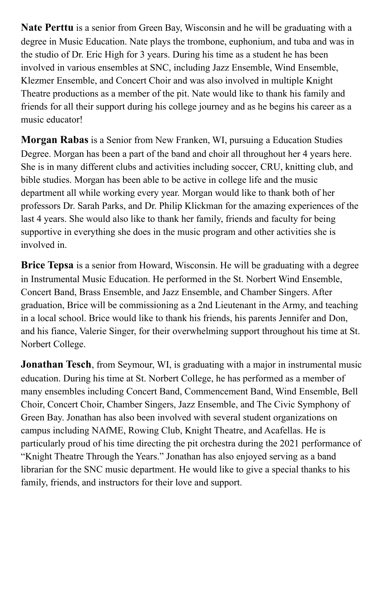**Nate Perttu** is a senior from Green Bay, Wisconsin and he will be graduating with a degree in Music Education. Nate plays the trombone, euphonium, and tuba and was in the studio of Dr. Eric High for 3 years. During his time as a student he has been involved in various ensembles at SNC, including Jazz Ensemble, Wind Ensemble, Klezmer Ensemble, and Concert Choir and was also involved in multiple Knight Theatre productions as a member of the pit. Nate would like to thank his family and friends for all their support during his college journey and as he begins his career as a music educator!

**Morgan Rabas** is a Senior from New Franken, WI, pursuing a Education Studies Degree. Morgan has been a part of the band and choir all throughout her 4 years here. She is in many different clubs and activities including soccer, CRU, knitting club, and bible studies. Morgan has been able to be active in college life and the music department all while working every year. Morgan would like to thank both of her professors Dr. Sarah Parks, and Dr. Philip Klickman for the amazing experiences of the last 4 years. She would also like to thank her family, friends and faculty for being supportive in everything she does in the music program and other activities she is involved in.

**Brice Tepsa** is a senior from Howard, Wisconsin. He will be graduating with a degree in Instrumental Music Education. He performed in the St. Norbert Wind Ensemble, Concert Band, Brass Ensemble, and Jazz Ensemble, and Chamber Singers. After graduation, Brice will be commissioning as a 2nd Lieutenant in the Army, and teaching in a local school. Brice would like to thank his friends, his parents Jennifer and Don, and his fiance, Valerie Singer, for their overwhelming support throughout his time at St. Norbert College.

**Jonathan Tesch**, from Seymour, WI, is graduating with a major in instrumental music education. During his time at St. Norbert College, he has performed as a member of many ensembles including Concert Band, Commencement Band, Wind Ensemble, Bell Choir, Concert Choir, Chamber Singers, Jazz Ensemble, and The Civic Symphony of Green Bay. Jonathan has also been involved with several student organizations on campus including NAfME, Rowing Club, Knight Theatre, and Acafellas. He is particularly proud of his time directing the pit orchestra during the 2021 performance of "Knight Theatre Through the Years." Jonathan has also enjoyed serving as a band librarian for the SNC music department. He would like to give a special thanks to his family, friends, and instructors for their love and support.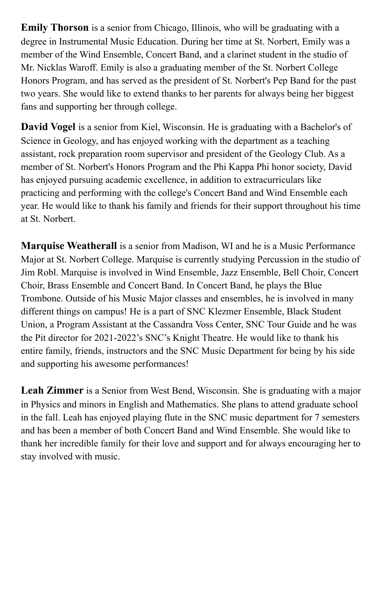**Emily Thorson** is a senior from Chicago, Illinois, who will be graduating with a degree in Instrumental Music Education. During her time at St. Norbert, Emily was a member of the Wind Ensemble, Concert Band, and a clarinet student in the studio of Mr. Nicklas Waroff. Emily is also a graduating member of the St. Norbert College Honors Program, and has served as the president of St. Norbert's Pep Band for the past two years. She would like to extend thanks to her parents for always being her biggest fans and supporting her through college.

**David Vogel** is a senior from Kiel, Wisconsin. He is graduating with a Bachelor's of Science in Geology, and has enjoyed working with the department as a teaching assistant, rock preparation room supervisor and president of the Geology Club. As a member of St. Norbert's Honors Program and the Phi Kappa Phi honor society, David has enjoyed pursuing academic excellence, in addition to extracurriculars like practicing and performing with the college's Concert Band and Wind Ensemble each year. He would like to thank his family and friends for their support throughout his time at St. Norbert.

**Marquise Weatherall** is a senior from Madison, WI and he is a Music Performance Major at St. Norbert College. Marquise is currently studying Percussion in the studio of Jim Robl. Marquise is involved in Wind Ensemble, Jazz Ensemble, Bell Choir, Concert Choir, Brass Ensemble and Concert Band. In Concert Band, he plays the Blue Trombone. Outside of his Music Major classes and ensembles, he is involved in many different things on campus! He is a part of SNC Klezmer Ensemble, Black Student Union, a Program Assistant at the Cassandra Voss Center, SNC Tour Guide and he was the Pit director for 2021-2022's SNC's Knight Theatre. He would like to thank his entire family, friends, instructors and the SNC Music Department for being by his side and supporting his awesome performances!

**Leah Zimmer** is a Senior from West Bend, Wisconsin. She is graduating with a major in Physics and minors in English and Mathematics. She plans to attend graduate school in the fall. Leah has enjoyed playing flute in the SNC music department for 7 semesters and has been a member of both Concert Band and Wind Ensemble. She would like to thank her incredible family for their love and support and for always encouraging her to stay involved with music.